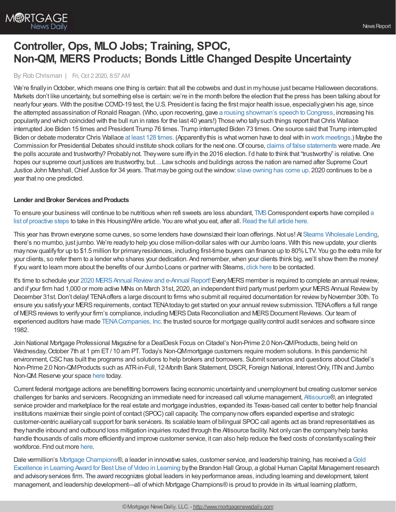## **Controller, Ops, MLO Jobs; Training, SPOC, Non-QM, MERS Products; Bonds Little Changed Despite Uncertainty**

By:Rob Chrisman | Fri, Oct 2 2020, 8:57 AM

We're finally in October, which means one thing is certain: that all the cobwebs and dust in my house just became Halloween decorations. Markets don't like uncertainty, but something else is certain: we're in the month before the election that the press has been talking about for nearlyfour years. With the positive COVID-19 test, the U.S. President is facing the first major health issue, especiallygiven his age, since the attempted assassination ofRonald Reagan. (Who, upon recovering, gave a rousing [showman's](https://www.youtube.com/watch?v=7T-7BnFo5ao) speech to Congress, increasing his popularityand which coincided with the bull run in rates for the last 40 years!) Those who tallysuch things report thatChris Wallace interrupted Joe Biden 15 times and President Trump 76 times. Trump interrupted Biden 73 times. One source said that Trump interrupted Biden or debate moderator Chris Wallace at least 128 [times](https://slate.com/news-and-politics/2020/09/trump-interruptions-first-presidential-debate-biden.html). (Apparentlythis is whatwomen have to deal with in work [meetings](https://www.businessinsider.com/trump-interrupting-biden-men-women-gender-conversations-2020-9).) Maybe the Commission for Presidential Debates should institute shock collars for the next one. Of course, claims of false [statements](https://www.mprnews.org/story/2020/09/30/fact-check-false-claims-flood-trumpbiden-debate) were made. Are the polls accurate and trustworthy? Probablynot. Theywere sure iffyin the 2016 election. I'd hate to think that "trustworthy" is relative.One hopes our supreme court justices are trustworthy, but…Lawschools and buildings across the nation are named after Supreme Court Justice John Marshall, Chief Justice for 34 years. That may be going out the window: slave [owning](https://www.law.com/2020/10/01/should-law-schools-cancel-scotus-titan-john-marshall/?kw=Should%20Law%20Schools%20%2527Cancel%2527%20SCOTUS%20Titan%20John%20Marshall?) has come up. 2020 continues to be a year that no one predicted.

## **Lender and Broker Services and Products**

To ensure your business will continue to be nutritious when refi sweets are less abundant, [TMSCorrespondent](https://www.housingwire.com/articles/refi-sugar-high-how-to-balance-your-lending-diet/) experts have compiled a list of proactive steps to take in this HousingWire [article](https://www.housingwire.com/articles/refi-sugar-high-how-to-balance-your-lending-diet/). You are what you eat, after all. Read the full article here.

This year has thrown everyone some curves, so some lenders have downsized their loan offerings. Not us! At Stearns [Wholesale](https://www.stearnswholesale.com/) Lending, there's no mumbo, just jumbo. We're readyto help you close million-dollar sales with our Jumbo loans. With this newupdate, your clients may now qualify for up to \$1.5 million for primary residences, including first-time buyers can finance up to 80% LTV. You go the extra mile for your clients, so refer them to a lender who shares your dedication. And remember, when your clients think big, we'll show them the money! If you want to learn more about the benefits of our Jumbo Loans or partner with Stearns, click [here](https://sites.totalexpert.net/event-registration/new-broker---chrisman-387548) to be contacted.

It's time to schedule your 2020 MERS Annual Review and e-Annual Report! Every MERS member is required to complete an annual review, and if your firm had 1,000 or more active MINs on March 31st, 2020, an independent third partymust perform your MERSAnnual Reviewby December 31st. Don't delay! TENA offers a large discount to firms who submit all required documentation for review by November 30th. To ensure you satisfyyour MERSrequirements, contact TENAtodayto get started on your annual reviewsubmission. TENAoffers a full range of MERS reviews to verify your firm's compliance, including MERS Data Reconciliation and MERS Document Reviews. Our team of experienced auditors have made [TENACompanies,](http://www.tenaco.com/) Inc. the trusted source for mortgage qualitycontrol audit services and software since 1982.

Join National Mortgage Professional Magazine for a DealDesk Focus on Citadel's Non-Prime 2.0 Non-QMProducts, being held on Wednesday, October 7th at 1 pm ET/10 am PT. Today's Non-QMmortgage customers require modern solutions. In this pandemic hit environment, CSC has built the programs and solutions to help brokers and borrowers. Submit scenarios and questions about Citadel's Non-Prime 2.0 Non-QMProducts such as ATR-in-Full, 12-Month Bank Statement, DSCR, Foreign National, Interest Only, ITIN and Jumbo Non-QM.Reserve your space [here](https://attendee.gotowebinar.com/register/6058836145056712208?source=chrisman) today.

Current federal mortgage actions are benefitting borrowers facing economic uncertaintyand unemployment but creating customer service challenges for banks and servicers. Recognizing an immediate need for increased call volume management, [Altisource®](https://www.altisource.com/?utm_source=chrisman&utm_medium=banner&utm_campaign=201007-Call-Center-Fact-Sheet-DG-Email-AS&utm_content=Ad), an integrated service provider and marketplace for the real estate and mortgage industries, expanded its Texas-based call center to better help financial institutions maximize their single point of contact (SPOC) call capacity. The companynowoffers expanded expertise and strategic customer-centric auxiliarycall support for bank servicers. Its scalable team of bilingual SPOCcall agents act as brand representatives as theyhandle inbound and outbound loss mitigation inquiries routed through the Altisource facility.Not onlycan the companyhelp banks handle thousands of calls more efficiently and improve customer service, it can also help reduce the fixed costs of constantly scaling their workforce. Find out more [here](https://pages.altisource.com/fs-single-point-of-contact-call-center-capacity.html?utm_source=chrisman&utm_medium=banner&utm_campaign=201007-Call-Center-Fact-Sheet-DG-Email-AS&utm_content=Ad).

Dale vermillion's Mortgage [Champions®,](https://www.mortgagesalestraining.com/company-updates/bhg2020) a leader in innovative sales, customer service, and leadership training, has received a Gold Excellence in Learning Award for Best Use of Video in Learning by the Brandon Hall Group, a global Human Capital Management research and advisoryservices firm. The award recognizes global leaders in keyperformance areas, including learning and development, talent management, and leadership development—all ofwhich Mortgage Champions®is proud to provide in its virtual learning platform,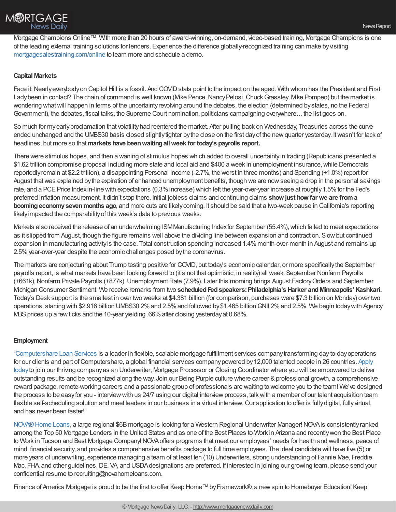

Mortgage Champions Online™. With more than 20 hours of award-winning, on-demand, video-based training, Mortgage Champions is one of the leading external training solutions for lenders. Experience the difference globally-recognized training can make byvisiting [mortgagesalestraining.com/online](https://mortgagesalestraining.com/online) to learn more and schedule a demo.

## **Capital Markets**

Face it: Nearly everybody on Capitol Hill is a fossil. And COVID stats point to the impact on the aged. With whom has the President and First Ladybeen in contact? The chain of command is well known (Mike Pence, Nancy Pelosi, Chuck Grassley, Mike Pompeo) but the market is wondering what will happen in terms of the uncertainty revolving around the debates, the election (determined by states, no the Federal Government), the debates, fiscal talks, the Supreme Court nomination, politicians campaigning everywhere…the list goes on.

So much for myearlyproclamation that volatilityhad reentered the market. After pulling back on Wednesday, Treasuries across the curve ended unchanged and the UMBS30 basis closed slightly tighter by the close on the first day of the new quarter yesterday. It wasn't for lack of headlines, but more so that**markets have beenwaitingallweek for today's payrolls report.**

There were stimulus hopes, and then a waning of stimulus hopes which added to overall uncertaintyin trading (Republicans presented a \$1.62 trillion compromise proposal including more state and local aid and \$400 a week in unemployment insurance, while Democrats reportedlyremain at \$2.2 trillion), a disappointing Personal Income (-2.7%, the worst in three months) and Spending (+1.0%) report for August that was explained by the expiration of enhanced unemployment benefits, though we are now seeing a drop in the personal savings rate, and a PCE Price Index in-line with expectations (0.3% increase) which left the year-over-year increase at roughly 1.5% for the Fed's preferred inflation measurement. It didn't stop there. Initial jobless claims and continuing claims **show just how far we are froma boomingeconomysevenmonths ago**, and more cuts are likelycoming. It should be said that a two-week pause in California's reporting likelyimpacted the comparabilityof this week's data to previous weeks.

Markets also received the release of an underwhelming ISM Manufacturing Index for September (55.4%), which failed to meet expectations as it slipped from August, though the figure remains well above the dividing line between expansion and contraction. Slowbut continued expansion in manufacturing activityis the case. Total construction spending increased 1.4%month-over-month in August and remains up 2.5% year-over-year despite the economic challenges posed by the coronavirus.

The markets are conjecturing about Trump testing positive for COVID, but today's economic calendar, or more specificallythe September payrolls report, is what markets have been looking forward to (it's not that optimistic, in reality) all week. September Nonfarm Payrolls (+661k), Nonfarm Private Payrolls (+877k), Unemployment Rate (7.9%). Later this morning brings August Factory Orders and September Michigan Consumer Sentiment. We receive remarks from two **scheduledFedspeakers:Philadelphia's Harker andMinneapolis'Kashkari.** Today's Desk support is the smallest in over two weeks at \$4.381 billion (for comparison, purchases were \$7.3 billion on Monday) over two operations, starting with \$2.916 billion UMBS30 2%and 2.5%and followed by\$1.465 billionGNII 2%and 2.5%. We begin todaywith Agency MBS prices up a few ticks and the 10-year yielding .66% after closing yesterday at 0.68%.

## **Employment**

["Computershare](https://www.computershareloanservices.com/us) Loan Services is a leader in flexible, scalable mortgage fulfillment services companytransforming day-to-dayoperations for our clients and part of Computershare, a global financial services company powered by 12,000 talented people in 26 countries. Apply todayto join our thriving companyas an Underwriter, Mortgage Processor or Closing Coordinator where you will be empowered to deliver outstanding results and be recognized along the way. Join our Being Purple culture where career &professional growth, a comprehensive reward package, remote-working careers and a passionate group of professionals are waiting to welcome you to the team! We've designed the process to be easy for you - interview with us 24/7 using our digital interview process, talk with a member of our talent acquisition team flexible self-scheduling solution and meet leaders in our business in a virtual interview. Our application to offer is fully digital, fully virtual, and has never been faster!"

NOVA® Home Loans, a large regional \$6B mortgage is looking for a Western Regional Underwriter Manager! NOVA is consistently ranked among the Top 50 Mortgage Lenders in the United States and as one of the Best Places to Work in Arizona and recentlywon the Best Place to Work in Tucson and Best Mortgage Company!NOVAoffers programs that meet our employees' needs for health and wellness, peace of mind, financial security, and provides a comprehensive benefits package to full time employees. The ideal candidate will have five (5) or more years of underwriting, experience managing a team of at least ten (10) Underwriters, strong understanding of Fannie Mae, Freddie Mac, FHA, and other guidelines, DE, VA, and USDA designations are preferred. If interested in joining our growing team, please send your confidential resume to recruiting@novahomeloans.com.

Finance of America Mortgage is proud to be the first to offer Keep Home™ by Framework®, a new spin to Homebuyer Education! Keep